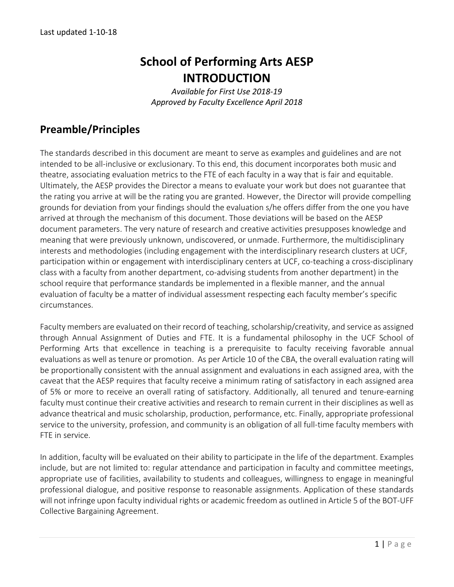# **School of Performing Arts AESP INTRODUCTION**

*Available for First Use 2018-19 Approved by Faculty Excellence April 2018*

## **Preamble/Principles**

The standards described in this document are meant to serve as examples and guidelines and are not intended to be all-inclusive or exclusionary. To this end, this document incorporates both music and theatre, associating evaluation metrics to the FTE of each faculty in a way that is fair and equitable. Ultimately, the AESP provides the Director a means to evaluate your work but does not guarantee that the rating you arrive at will be the rating you are granted. However, the Director will provide compelling grounds for deviation from your findings should the evaluation s/he offers differ from the one you have arrived at through the mechanism of this document. Those deviations will be based on the AESP document parameters. The very nature of research and creative activities presupposes knowledge and meaning that were previously unknown, undiscovered, or unmade. Furthermore, the multidisciplinary interests and methodologies (including engagement with the interdisciplinary research clusters at UCF, participation within or engagement with interdisciplinary centers at UCF, co-teaching a cross-disciplinary class with a faculty from another department, co-advising students from another department) in the school require that performance standards be implemented in a flexible manner, and the annual evaluation of faculty be a matter of individual assessment respecting each faculty member's specific circumstances.

Faculty members are evaluated on their record of teaching, scholarship/creativity, and service as assigned through Annual Assignment of Duties and FTE. It is a fundamental philosophy in the UCF School of Performing Arts that excellence in teaching is a prerequisite to faculty receiving favorable annual evaluations as well as tenure or promotion. As per Article 10 of the CBA, the overall evaluation rating will be proportionally consistent with the annual assignment and evaluations in each assigned area, with the caveat that the AESP requires that faculty receive a minimum rating of satisfactory in each assigned area of 5% or more to receive an overall rating of satisfactory. Additionally, all tenured and tenure-earning faculty must continue their creative activities and research to remain current in their disciplines as well as advance theatrical and music scholarship, production, performance, etc. Finally, appropriate professional service to the university, profession, and community is an obligation of all full-time faculty members with FTE in service.

In addition, faculty will be evaluated on their ability to participate in the life of the department. Examples include, but are not limited to: regular attendance and participation in faculty and committee meetings, appropriate use of facilities, availability to students and colleagues, willingness to engage in meaningful professional dialogue, and positive response to reasonable assignments. Application of these standards will not infringe upon faculty individual rights or academic freedom as outlined in Article 5 of the BOT-UFF Collective Bargaining Agreement.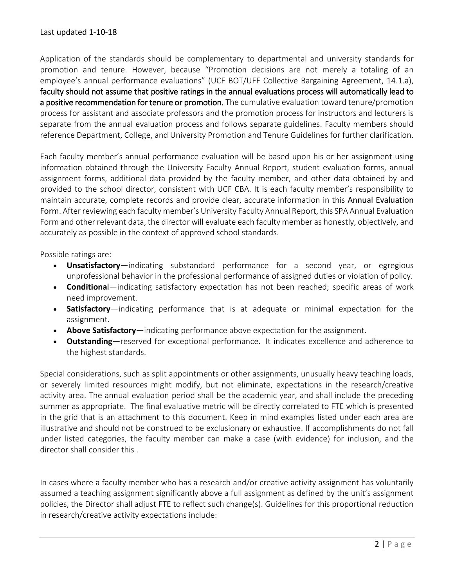Application of the standards should be complementary to departmental and university standards for promotion and tenure. However, because "Promotion decisions are not merely a totaling of an employee's annual performance evaluations" (UCF BOT/UFF Collective Bargaining Agreement, 14.1.a), faculty should not assume that positive ratings in the annual evaluations process will automatically lead to a positive recommendation for tenure or promotion. The cumulative evaluation toward tenure/promotion process for assistant and associate professors and the promotion process for instructors and lecturers is separate from the annual evaluation process and follows separate guidelines. Faculty members should reference Department, College, and University Promotion and Tenure Guidelines for further clarification.

Each faculty member's annual performance evaluation will be based upon his or her assignment using information obtained through the University Faculty Annual Report, student evaluation forms, annual assignment forms, additional data provided by the faculty member, and other data obtained by and provided to the school director, consistent with UCF CBA. It is each faculty member's responsibility to maintain accurate, complete records and provide clear, accurate information in this Annual Evaluation Form. After reviewing each faculty member's University Faculty Annual Report, this SPA Annual Evaluation Form and other relevant data, the director will evaluate each faculty member as honestly, objectively, and accurately as possible in the context of approved school standards.

Possible ratings are:

- **Unsatisfactory**—indicating substandard performance for a second year, or egregious unprofessional behavior in the professional performance of assigned duties or violation of policy.
- **Conditiona**l—indicating satisfactory expectation has not been reached; specific areas of work need improvement.
- **Satisfactory**—indicating performance that is at adequate or minimal expectation for the assignment.
- **Above Satisfactory**—indicating performance above expectation for the assignment.
- **Outstanding**—reserved for exceptional performance. It indicates excellence and adherence to the highest standards.

Special considerations, such as split appointments or other assignments, unusually heavy teaching loads, or severely limited resources might modify, but not eliminate, expectations in the research/creative activity area. The annual evaluation period shall be the academic year, and shall include the preceding summer as appropriate. The final evaluative metric will be directly correlated to FTE which is presented in the grid that is an attachment to this document. Keep in mind examples listed under each area are illustrative and should not be construed to be exclusionary or exhaustive. If accomplishments do not fall under listed categories, the faculty member can make a case (with evidence) for inclusion, and the director shall consider this .

In cases where a faculty member who has a research and/or creative activity assignment has voluntarily assumed a teaching assignment significantly above a full assignment as defined by the unit's assignment policies, the Director shall adjust FTE to reflect such change(s). Guidelines for this proportional reduction in research/creative activity expectations include: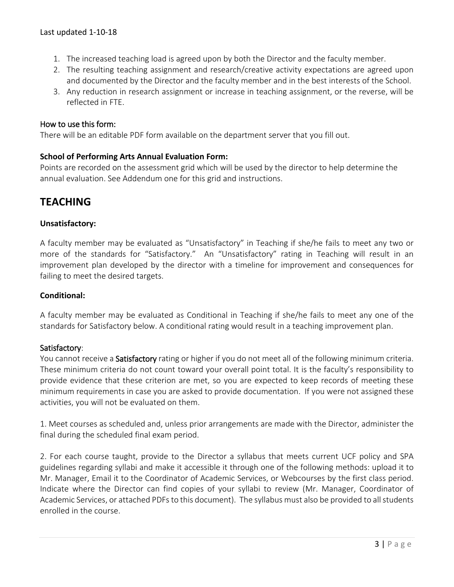- 1. The increased teaching load is agreed upon by both the Director and the faculty member.
- 2. The resulting teaching assignment and research/creative activity expectations are agreed upon and documented by the Director and the faculty member and in the best interests of the School.
- 3. Any reduction in research assignment or increase in teaching assignment, or the reverse, will be reflected in FTE.

#### How to use this form:

There will be an editable PDF form available on the department server that you fill out.

### **School of Performing Arts Annual Evaluation Form:**

Points are recorded on the assessment grid which will be used by the director to help determine the annual evaluation. See Addendum one for this grid and instructions.

## **TEACHING**

### **Unsatisfactory:**

A faculty member may be evaluated as "Unsatisfactory" in Teaching if she/he fails to meet any two or more of the standards for "Satisfactory." An "Unsatisfactory" rating in Teaching will result in an improvement plan developed by the director with a timeline for improvement and consequences for failing to meet the desired targets.

#### **Conditional:**

A faculty member may be evaluated as Conditional in Teaching if she/he fails to meet any one of the standards for Satisfactory below. A conditional rating would result in a teaching improvement plan.

#### Satisfactory:

You cannot receive a Satisfactory rating or higher if you do not meet all of the following minimum criteria. These minimum criteria do not count toward your overall point total. It is the faculty's responsibility to provide evidence that these criterion are met, so you are expected to keep records of meeting these minimum requirements in case you are asked to provide documentation. If you were not assigned these activities, you will not be evaluated on them.

1. Meet courses as scheduled and, unless prior arrangements are made with the Director, administer the final during the scheduled final exam period.

2. For each course taught, provide to the Director a syllabus that meets current UCF policy and SPA guidelines regarding syllabi and make it accessible it through one of the following methods: upload it to Mr. Manager, Email it to the Coordinator of Academic Services, or Webcourses by the first class period. Indicate where the Director can find copies of your syllabi to review (Mr. Manager, Coordinator of Academic Services, or attached PDFs to this document). The syllabus must also be provided to all students enrolled in the course.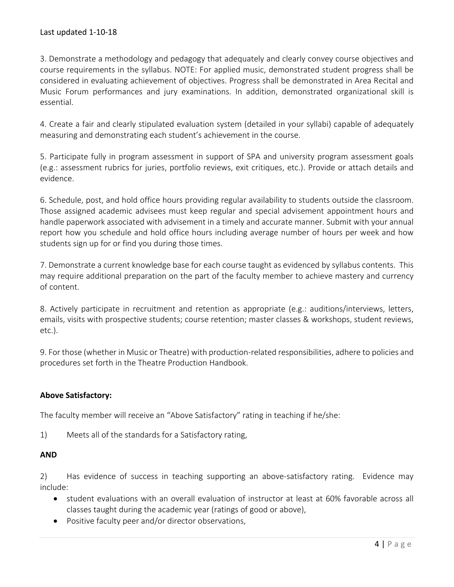3. Demonstrate a methodology and pedagogy that adequately and clearly convey course objectives and course requirements in the syllabus. NOTE: For applied music, demonstrated student progress shall be considered in evaluating achievement of objectives. Progress shall be demonstrated in Area Recital and Music Forum performances and jury examinations. In addition, demonstrated organizational skill is essential.

4. Create a fair and clearly stipulated evaluation system (detailed in your syllabi) capable of adequately measuring and demonstrating each student's achievement in the course.

5. Participate fully in program assessment in support of SPA and university program assessment goals (e.g.: assessment rubrics for juries, portfolio reviews, exit critiques, etc.). Provide or attach details and evidence.

6. Schedule, post, and hold office hours providing regular availability to students outside the classroom. Those assigned academic advisees must keep regular and special advisement appointment hours and handle paperwork associated with advisement in a timely and accurate manner. Submit with your annual report how you schedule and hold office hours including average number of hours per week and how students sign up for or find you during those times.

7. Demonstrate a current knowledge base for each course taught as evidenced by syllabus contents. This may require additional preparation on the part of the faculty member to achieve mastery and currency of content.

8. Actively participate in recruitment and retention as appropriate (e.g.: auditions/interviews, letters, emails, visits with prospective students; course retention; master classes & workshops, student reviews, etc.).

9. For those (whether in Music or Theatre) with production-related responsibilities, adhere to policies and procedures set forth in the Theatre Production Handbook.

## **Above Satisfactory:**

The faculty member will receive an "Above Satisfactory" rating in teaching if he/she:

1) Meets all of the standards for a Satisfactory rating,

## **AND**

2) Has evidence of success in teaching supporting an above-satisfactory rating. Evidence may include:

- student evaluations with an overall evaluation of instructor at least at 60% favorable across all classes taught during the academic year (ratings of good or above),
- Positive faculty peer and/or director observations,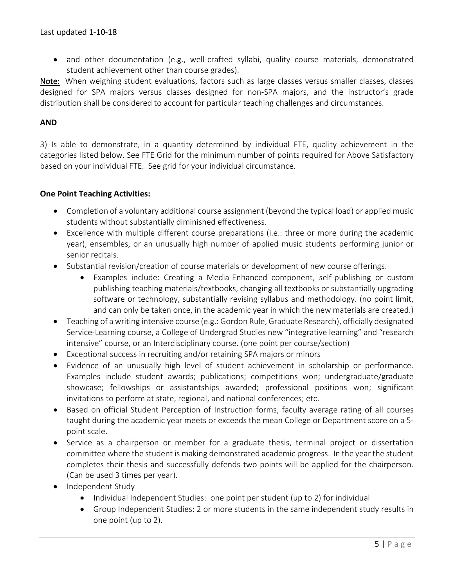• and other documentation (e.g., well-crafted syllabi, quality course materials, demonstrated student achievement other than course grades).

Note: When weighing student evaluations, factors such as large classes versus smaller classes, classes designed for SPA majors versus classes designed for non-SPA majors, and the instructor's grade distribution shall be considered to account for particular teaching challenges and circumstances.

## **AND**

3) Is able to demonstrate, in a quantity determined by individual FTE, quality achievement in the categories listed below. See FTE Grid for the minimum number of points required for Above Satisfactory based on your individual FTE. See grid for your individual circumstance.

### **One Point Teaching Activities:**

- Completion of a voluntary additional course assignment (beyond the typical load) or applied music students without substantially diminished effectiveness.
- Excellence with multiple different course preparations (i.e.: three or more during the academic year), ensembles, or an unusually high number of applied music students performing junior or senior recitals.
- Substantial revision/creation of course materials or development of new course offerings.
	- Examples include: Creating a Media-Enhanced component, self-publishing or custom publishing teaching materials/textbooks, changing all textbooks or substantially upgrading software or technology, substantially revising syllabus and methodology. (no point limit, and can only be taken once, in the academic year in which the new materials are created.)
- Teaching of a writing intensive course (e.g.: Gordon Rule, Graduate Research), officially designated Service-Learning course, a College of Undergrad Studies new "integrative learning" and "research intensive" course, or an Interdisciplinary course. (one point per course/section)
- Exceptional success in recruiting and/or retaining SPA majors or minors
- Evidence of an unusually high level of student achievement in scholarship or performance. Examples include student awards; publications; competitions won; undergraduate/graduate showcase; fellowships or assistantships awarded; professional positions won; significant invitations to perform at state, regional, and national conferences; etc.
- Based on official Student Perception of Instruction forms, faculty average rating of all courses taught during the academic year meets or exceeds the mean College or Department score on a 5 point scale.
- Service as a chairperson or member for a graduate thesis, terminal project or dissertation committee where the student is making demonstrated academic progress. In the year the student completes their thesis and successfully defends two points will be applied for the chairperson. (Can be used 3 times per year).
- Independent Study
	- Individual Independent Studies: one point per student (up to 2) for individual
	- Group Independent Studies: 2 or more students in the same independent study results in one point (up to 2).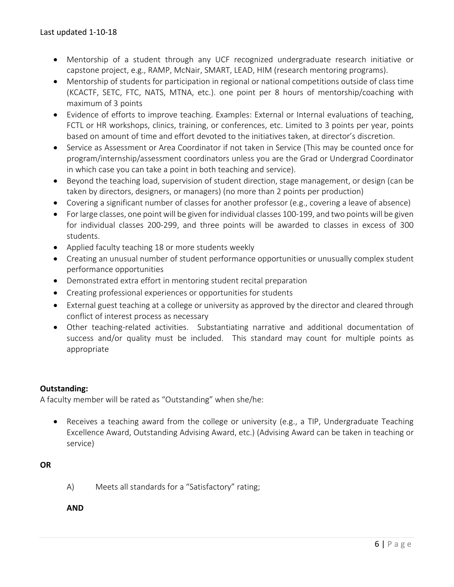- Mentorship of a student through any UCF recognized undergraduate research initiative or capstone project, e.g., RAMP, McNair, SMART, LEAD, HIM (research mentoring programs).
- Mentorship of students for participation in regional or national competitions outside of class time (KCACTF, SETC, FTC, NATS, MTNA, etc.). one point per 8 hours of mentorship/coaching with maximum of 3 points
- Evidence of efforts to improve teaching. Examples: External or Internal evaluations of teaching, FCTL or HR workshops, clinics, training, or conferences, etc. Limited to 3 points per year, points based on amount of time and effort devoted to the initiatives taken, at director's discretion.
- Service as Assessment or Area Coordinator if not taken in Service (This may be counted once for program/internship/assessment coordinators unless you are the Grad or Undergrad Coordinator in which case you can take a point in both teaching and service).
- Beyond the teaching load, supervision of student direction, stage management, or design (can be taken by directors, designers, or managers) (no more than 2 points per production)
- Covering a significant number of classes for another professor (e.g., covering a leave of absence)
- For large classes, one point will be given for individual classes 100-199, and two points will be given for individual classes 200-299, and three points will be awarded to classes in excess of 300 students.
- Applied faculty teaching 18 or more students weekly
- Creating an unusual number of student performance opportunities or unusually complex student performance opportunities
- Demonstrated extra effort in mentoring student recital preparation
- Creating professional experiences or opportunities for students
- External guest teaching at a college or university as approved by the director and cleared through conflict of interest process as necessary
- Other teaching-related activities. Substantiating narrative and additional documentation of success and/or quality must be included. This standard may count for multiple points as appropriate

## **Outstanding:**

A faculty member will be rated as "Outstanding" when she/he:

• Receives a teaching award from the college or university (e.g., a TIP, Undergraduate Teaching Excellence Award, Outstanding Advising Award, etc.) (Advising Award can be taken in teaching or service)

## **OR**

A) Meets all standards for a "Satisfactory" rating;

**AND**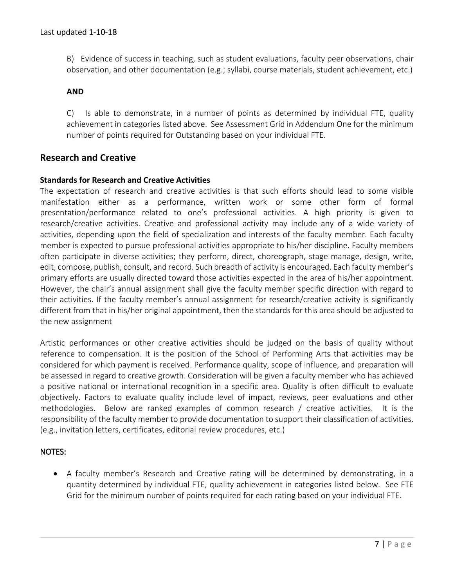B) Evidence of success in teaching, such as student evaluations, faculty peer observations, chair observation, and other documentation (e.g.; syllabi, course materials, student achievement, etc.)

#### **AND**

C) Is able to demonstrate, in a number of points as determined by individual FTE, quality achievement in categories listed above. See Assessment Grid in Addendum One for the minimum number of points required for Outstanding based on your individual FTE.

## **Research and Creative**

#### **Standards for Research and Creative Activities**

The expectation of research and creative activities is that such efforts should lead to some visible manifestation either as a performance, written work or some other form of formal presentation/performance related to one's professional activities. A high priority is given to research/creative activities. Creative and professional activity may include any of a wide variety of activities, depending upon the field of specialization and interests of the faculty member. Each faculty member is expected to pursue professional activities appropriate to his/her discipline. Faculty members often participate in diverse activities; they perform, direct, choreograph, stage manage, design, write, edit, compose, publish, consult, and record. Such breadth of activity is encouraged. Each faculty member's primary efforts are usually directed toward those activities expected in the area of his/her appointment. However, the chair's annual assignment shall give the faculty member specific direction with regard to their activities. If the faculty member's annual assignment for research/creative activity is significantly different from that in his/her original appointment, then the standards for this area should be adjusted to the new assignment

Artistic performances or other creative activities should be judged on the basis of quality without reference to compensation. It is the position of the School of Performing Arts that activities may be considered for which payment is received. Performance quality, scope of influence, and preparation will be assessed in regard to creative growth. Consideration will be given a faculty member who has achieved a positive national or international recognition in a specific area. Quality is often difficult to evaluate objectively. Factors to evaluate quality include level of impact, reviews, peer evaluations and other methodologies. Below are ranked examples of common research / creative activities. It is the responsibility of the faculty member to provide documentation to support their classification of activities. (e.g., invitation letters, certificates, editorial review procedures, etc.)

#### NOTES:

• A faculty member's Research and Creative rating will be determined by demonstrating, in a quantity determined by individual FTE, quality achievement in categories listed below. See FTE Grid for the minimum number of points required for each rating based on your individual FTE.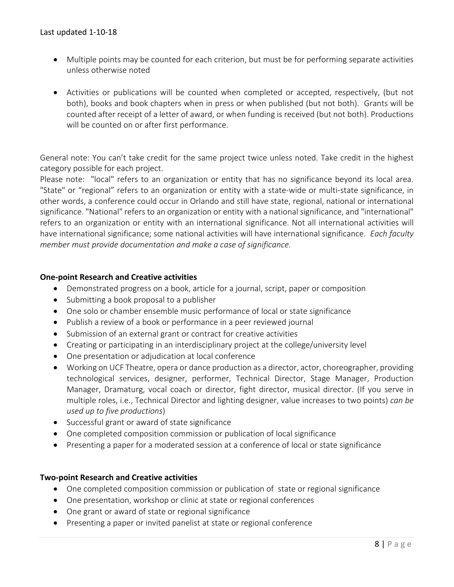- Multiple points may be counted for each criterion, but must be for performing separate activities unless otherwise noted
- Activities or publications will be counted when completed or accepted, respectively, (but not both), books and book chapters when in press or when published (but not both). Grants will be counted after receipt of a letter of award, or when funding is received (but not both). Productions will be counted on or after first performance.

General note: You can't take credit for the same project twice unless noted. Take credit in the highest category possible for each project.

Please note: "local" refers to an organization or entity that has no significance beyond its local area. "State" or "regional" refers to an organization or entity with a state-wide or multi-state significance, in other words, a conference could occur in Orlando and still have state, regional, national or international significance. "National" refers to an organization or entity with a national significance, and "international" refers to an organization or entity with an international significance. Not all international activities will have international significance; some national activities will have international significance. *Each faculty member must provide documentation and make a case of significance.*

### **One-point Research and Creative activities**

- Demonstrated progress on a book, article for a journal, script, paper or composition
- Submitting a book proposal to a publisher
- One solo or chamber ensemble music performance of local or state significance
- Publish a review of a book or performance in a peer reviewed journal
- Submission of an external grant or contract for creative activities
- Creating or participating in an interdisciplinary project at the college/university level
- One presentation or adjudication at local conference
- Working on UCF Theatre, opera or dance production as a director, actor, choreographer, providing technological services, designer, performer, Technical Director, Stage Manager, Production Manager, Dramaturg, vocal coach or director, fight director, musical director. (If you serve in multiple roles, i.e., Technical Director and lighting designer, value increases to two points) *can be used up to five productions*)
- Successful grant or award of state significance
- One completed composition commission or publication of local significance
- Presenting a paper for a moderated session at a conference of local or state significance

#### **Two-point Research and Creative activities**

- One completed composition commission or publication of state or regional significance
- One presentation, workshop or clinic at state or regional conferences
- One grant or award of state or regional significance
- Presenting a paper or invited panelist at state or regional conference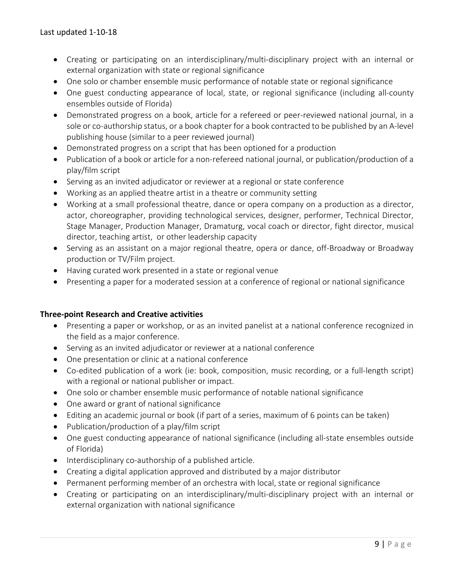- Creating or participating on an interdisciplinary/multi-disciplinary project with an internal or external organization with state or regional significance
- One solo or chamber ensemble music performance of notable state or regional significance
- One guest conducting appearance of local, state, or regional significance (including all-county ensembles outside of Florida)
- Demonstrated progress on a book, article for a refereed or peer-reviewed national journal, in a sole or co-authorship status, or a book chapter for a book contracted to be published by an A-level publishing house (similar to a peer reviewed journal)
- Demonstrated progress on a script that has been optioned for a production
- Publication of a book or article for a non-refereed national journal, or publication/production of a play/film script
- Serving as an invited adjudicator or reviewer at a regional or state conference
- Working as an applied theatre artist in a theatre or community setting
- Working at a small professional theatre, dance or opera company on a production as a director, actor, choreographer, providing technological services, designer, performer, Technical Director, Stage Manager, Production Manager, Dramaturg, vocal coach or director, fight director, musical director, teaching artist, or other leadership capacity
- Serving as an assistant on a major regional theatre, opera or dance, off-Broadway or Broadway production or TV/Film project.
- Having curated work presented in a state or regional venue
- Presenting a paper for a moderated session at a conference of regional or national significance

#### **Three-point Research and Creative activities**

- Presenting a paper or workshop, or as an invited panelist at a national conference recognized in the field as a major conference.
- Serving as an invited adjudicator or reviewer at a national conference
- One presentation or clinic at a national conference
- Co-edited publication of a work (ie: book, composition, music recording, or a full-length script) with a regional or national publisher or impact.
- One solo or chamber ensemble music performance of notable national significance
- One award or grant of national significance
- Editing an academic journal or book (if part of a series, maximum of 6 points can be taken)
- Publication/production of a play/film script
- One guest conducting appearance of national significance (including all-state ensembles outside of Florida)
- Interdisciplinary co-authorship of a published article.
- Creating a digital application approved and distributed by a major distributor
- Permanent performing member of an orchestra with local, state or regional significance
- Creating or participating on an interdisciplinary/multi-disciplinary project with an internal or external organization with national significance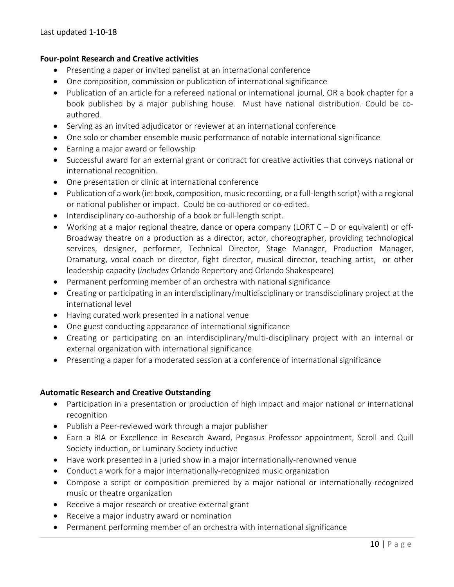#### **Four-point Research and Creative activities**

- Presenting a paper or invited panelist at an international conference
- One composition, commission or publication of international significance
- Publication of an article for a refereed national or international journal, OR a book chapter for a book published by a major publishing house. Must have national distribution. Could be coauthored.
- Serving as an invited adjudicator or reviewer at an international conference
- One solo or chamber ensemble music performance of notable international significance
- Earning a major award or fellowship
- Successful award for an external grant or contract for creative activities that conveys national or international recognition.
- One presentation or clinic at international conference
- Publication of a work (ie: book, composition, music recording, or a full-length script) with a regional or national publisher or impact. Could be co-authored or co-edited.
- Interdisciplinary co-authorship of a book or full-length script.
- Working at a major regional theatre, dance or opera company (LORT  $C D$  or equivalent) or off-Broadway theatre on a production as a director, actor, choreographer, providing technological services, designer, performer, Technical Director, Stage Manager, Production Manager, Dramaturg, vocal coach or director, fight director, musical director, teaching artist, or other leadership capacity (*includes* Orlando Repertory and Orlando Shakespeare)
- Permanent performing member of an orchestra with national significance
- Creating or participating in an interdisciplinary/multidisciplinary or transdisciplinary project at the international level
- Having curated work presented in a national venue
- One guest conducting appearance of international significance
- Creating or participating on an interdisciplinary/multi-disciplinary project with an internal or external organization with international significance
- Presenting a paper for a moderated session at a conference of international significance

#### **Automatic Research and Creative Outstanding**

- Participation in a presentation or production of high impact and major national or international recognition
- Publish a Peer-reviewed work through a major publisher
- Earn a RIA or Excellence in Research Award, Pegasus Professor appointment, Scroll and Quill Society induction, or Luminary Society inductive
- Have work presented in a juried show in a major internationally-renowned venue
- Conduct a work for a major internationally-recognized music organization
- Compose a script or composition premiered by a major national or internationally-recognized music or theatre organization
- Receive a major research or creative external grant
- Receive a major industry award or nomination
- Permanent performing member of an orchestra with international significance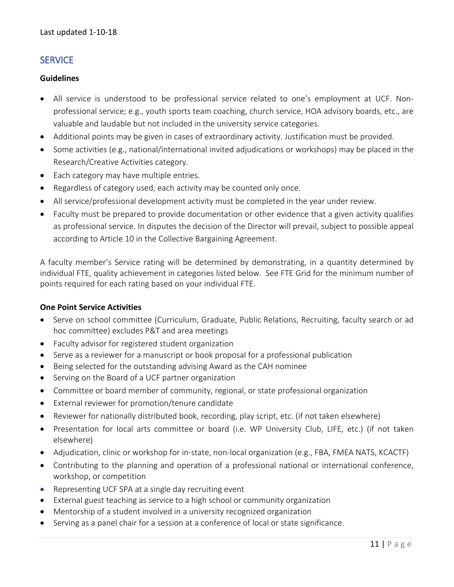## **SERVICE**

#### **Guidelines**

- All service is understood to be professional service related to one's employment at UCF. Nonprofessional service; e.g., youth sports team coaching, church service, HOA advisory boards, etc., are valuable and laudable but not included in the university service categories.
- Additional points may be given in cases of extraordinary activity. Justification must be provided.
- Some activities (e.g., national/international invited adjudications or workshops) may be placed in the Research/Creative Activities category.
- Each category may have multiple entries.
- Regardless of category used, each activity may be counted only once.
- All service/professional development activity must be completed in the year under review.
- Faculty must be prepared to provide documentation or other evidence that a given activity qualifies as professional service. In disputes the decision of the Director will prevail, subject to possible appeal according to Article 10 in the Collective Bargaining Agreement.

A faculty member's Service rating will be determined by demonstrating, in a quantity determined by individual FTE, quality achievement in categories listed below. See FTE Grid for the minimum number of points required for each rating based on your individual FTE.

#### **One Point Service Activities**

- Serve on school committee (Curriculum, Graduate, Public Relations, Recruiting, faculty search or ad hoc committee) excludes P&T and area meetings
- Faculty advisor for registered student organization
- Serve as a reviewer for a manuscript or book proposal for a professional publication
- Being selected for the outstanding advising Award as the CAH nominee
- Serving on the Board of a UCF partner organization
- Committee or board member of community, regional, or state professional organization
- External reviewer for promotion/tenure candidate
- Reviewer for nationally distributed book, recording, play script, etc. (if not taken elsewhere)
- Presentation for local arts committee or board (i.e. WP University Club, LIFE, etc.) (if not taken elsewhere)
- Adjudication, clinic or workshop for in-state, non-local organization (e.g., FBA, FMEA NATS, KCACTF)
- Contributing to the planning and operation of a professional national or international conference, workshop, or competition
- Representing UCF SPA at a single day recruiting event
- External guest teaching as service to a high school or community organization
- Mentorship of a student involved in a university recognized organization
- Serving as a panel chair for a session at a conference of local or state significance.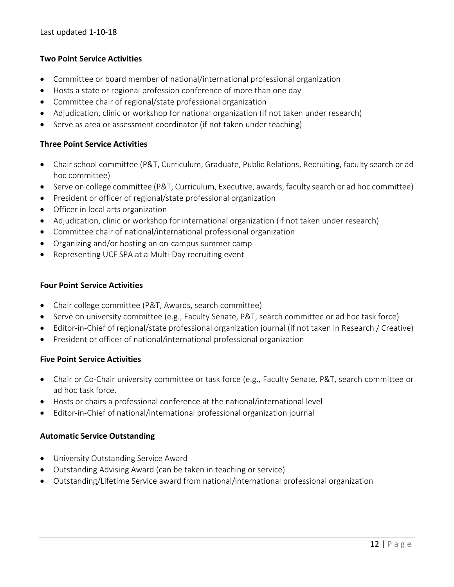### **Two Point Service Activities**

- Committee or board member of national/international professional organization
- Hosts a state or regional profession conference of more than one day
- Committee chair of regional/state professional organization
- Adjudication, clinic or workshop for national organization (if not taken under research)
- Serve as area or assessment coordinator (if not taken under teaching)

#### **Three Point Service Activities**

- Chair school committee (P&T, Curriculum, Graduate, Public Relations, Recruiting, faculty search or ad hoc committee)
- Serve on college committee (P&T, Curriculum, Executive, awards, faculty search or ad hoc committee)
- President or officer of regional/state professional organization
- Officer in local arts organization
- Adjudication, clinic or workshop for international organization (if not taken under research)
- Committee chair of national/international professional organization
- Organizing and/or hosting an on-campus summer camp
- Representing UCF SPA at a Multi-Day recruiting event

#### **Four Point Service Activities**

- Chair college committee (P&T, Awards, search committee)
- Serve on university committee (e.g., Faculty Senate, P&T, search committee or ad hoc task force)
- Editor-in-Chief of regional/state professional organization journal (if not taken in Research / Creative)
- President or officer of national/international professional organization

#### **Five Point Service Activities**

- Chair or Co-Chair university committee or task force (e.g., Faculty Senate, P&T, search committee or ad hoc task force.
- Hosts or chairs a professional conference at the national/international level
- Editor-in-Chief of national/international professional organization journal

#### **Automatic Service Outstanding**

- University Outstanding Service Award
- Outstanding Advising Award (can be taken in teaching or service)
- Outstanding/Lifetime Service award from national/international professional organization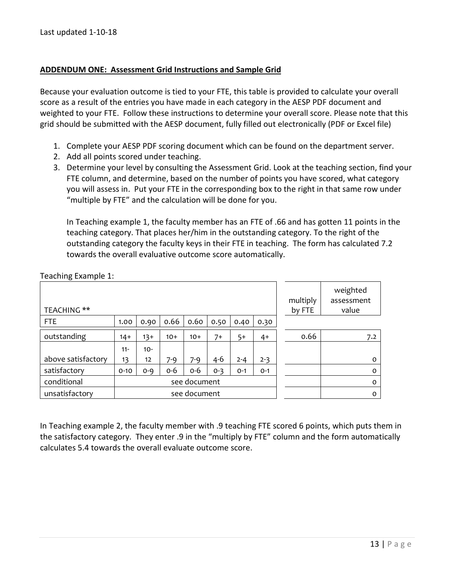#### **ADDENDUM ONE: Assessment Grid Instructions and Sample Grid**

Because your evaluation outcome is tied to your FTE, this table is provided to calculate your overall score as a result of the entries you have made in each category in the AESP PDF document and weighted to your FTE. Follow these instructions to determine your overall score. Please note that this grid should be submitted with the AESP document, fully filled out electronically (PDF or Excel file)

- 1. Complete your AESP PDF scoring document which can be found on the department server.
- 2. Add all points scored under teaching.
- 3. Determine your level by consulting the Assessment Grid. Look at the teaching section, find your FTE column, and determine, based on the number of points you have scored, what category you will assess in. Put your FTE in the corresponding box to the right in that same row under "multiple by FTE" and the calculation will be done for you.

In Teaching example 1, the faculty member has an FTE of .66 and has gotten 11 points in the teaching category. That places her/him in the outstanding category. To the right of the outstanding category the faculty keys in their FTE in teaching. The form has calculated 7.2 towards the overall evaluative outcome score automatically.

| <b>TEACHING **</b> |          |         |       |              |         |         |         | multiply<br>by FTE | weighted<br>assessment<br>value |
|--------------------|----------|---------|-------|--------------|---------|---------|---------|--------------------|---------------------------------|
| <b>FTE</b>         | 1.00     | 0.90    | 0.66  | 0.60         | 0.50    | 0.40    | 0.30    |                    |                                 |
| outstanding        | $14+$    | $13+$   | $10+$ | $10+$        | $7+$    | $5+$    | $4+$    | 0.66               | 7.2                             |
|                    | $11 -$   | $10 -$  |       |              |         |         |         |                    |                                 |
| above satisfactory | 13       | 12      | 7-9   | 7-9          | $4 - 6$ | $2 - 4$ | $2 - 3$ |                    | $\Omega$                        |
| satisfactory       | $0 - 10$ | $O - Q$ | $O-6$ | 0-6          | $0 - 3$ | $O - 1$ | $O-1$   |                    | $\Omega$                        |
| conditional        |          |         |       | see document |         |         |         |                    | $\Omega$                        |
| unsatisfactory     |          |         |       | see document |         |         |         |                    | $\Omega$                        |

Teaching Example 1:

In Teaching example 2, the faculty member with .9 teaching FTE scored 6 points, which puts them in the satisfactory category. They enter .9 in the "multiply by FTE" column and the form automatically calculates 5.4 towards the overall evaluate outcome score.